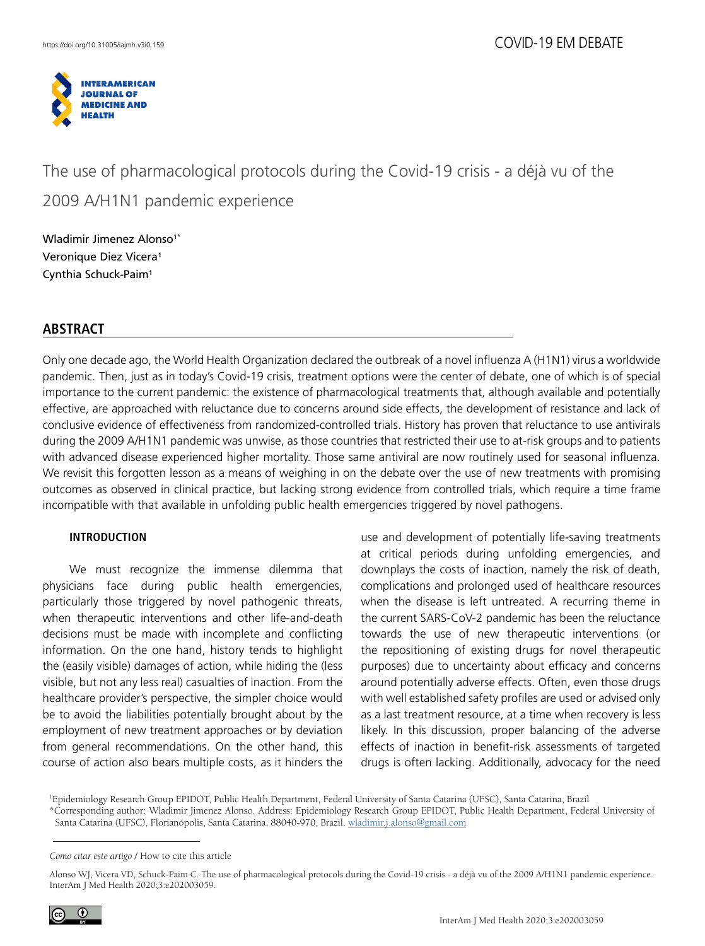

# The use of pharmacological protocols during the Covid-19 crisis - a déjà vu of the 2009 A/H1N1 pandemic experience

Wladimir Jimenez Alonso<sup>1\*</sup> Veronique Diez Vicera<sup>1</sup> Cynthia Schuck-Paim<sup>1</sup>

# **ABSTRACT**

Only one decade ago, the World Health Organization declared the outbreak of a novel influenza A (H1N1) virus a worldwide pandemic. Then, just as in today's Covid-19 crisis, treatment options were the center of debate, one of which is of special importance to the current pandemic: the existence of pharmacological treatments that, although available and potentially effective, are approached with reluctance due to concerns around side effects, the development of resistance and lack of conclusive evidence of effectiveness from randomized-controlled trials. History has proven that reluctance to use antivirals during the 2009 A/H1N1 pandemic was unwise, as those countries that restricted their use to at-risk groups and to patients with advanced disease experienced higher mortality. Those same antiviral are now routinely used for seasonal influenza. We revisit this forgotten lesson as a means of weighing in on the debate over the use of new treatments with promising outcomes as observed in clinical practice, but lacking strong evidence from controlled trials, which require a time frame incompatible with that available in unfolding public health emergencies triggered by novel pathogens.

### **INTRODUCTION**

We must recognize the immense dilemma that physicians face during public health emergencies, particularly those triggered by novel pathogenic threats, when therapeutic interventions and other life-and-death decisions must be made with incomplete and conflicting information. On the one hand, history tends to highlight the (easily visible) damages of action, while hiding the (less visible, but not any less real) casualties of inaction. From the healthcare provider's perspective, the simpler choice would be to avoid the liabilities potentially brought about by the employment of new treatment approaches or by deviation from general recommendations. On the other hand, this course of action also bears multiple costs, as it hinders the

use and development of potentially life-saving treatments at critical periods during unfolding emergencies, and downplays the costs of inaction, namely the risk of death, complications and prolonged used of healthcare resources when the disease is left untreated. A recurring theme in the current SARS-CoV-2 pandemic has been the reluctance towards the use of new therapeutic interventions (or the repositioning of existing drugs for novel therapeutic purposes) due to uncertainty about efficacy and concerns around potentially adverse effects. Often, even those drugs with well established safety profiles are used or advised only as a last treatment resource, at a time when recovery is less likely. In this discussion, proper balancing of the adverse effects of inaction in benefit-risk assessments of targeted drugs is often lacking. Additionally, advocacy for the need

1 Epidemiology Research Group EPIDOT, Public Health Department, Federal University of Santa Catarina (UFSC), Santa Catarina, Brazil

\*Corresponding author: Wladimir Jimenez Alonso. Address: Epidemiology Research Group EPIDOT, Public Health Department, Federal University of Santa Catarina (UFSC), Florianópolis, Santa Catarina, 88040-970, Brazil. [wladimir.j.alonso@gmail.com](mailto:wladimir.j.alonso@gmail.com)

Alonso WJ, Vicera VD, Schuck-Paim C. The use of pharmacological protocols during the Covid-19 crisis - a déjà vu of the 2009 A/H1N1 pandemic experience. InterAm J Med Health 2020;3:e202003059.



*Como citar este artigo* / How to cite this article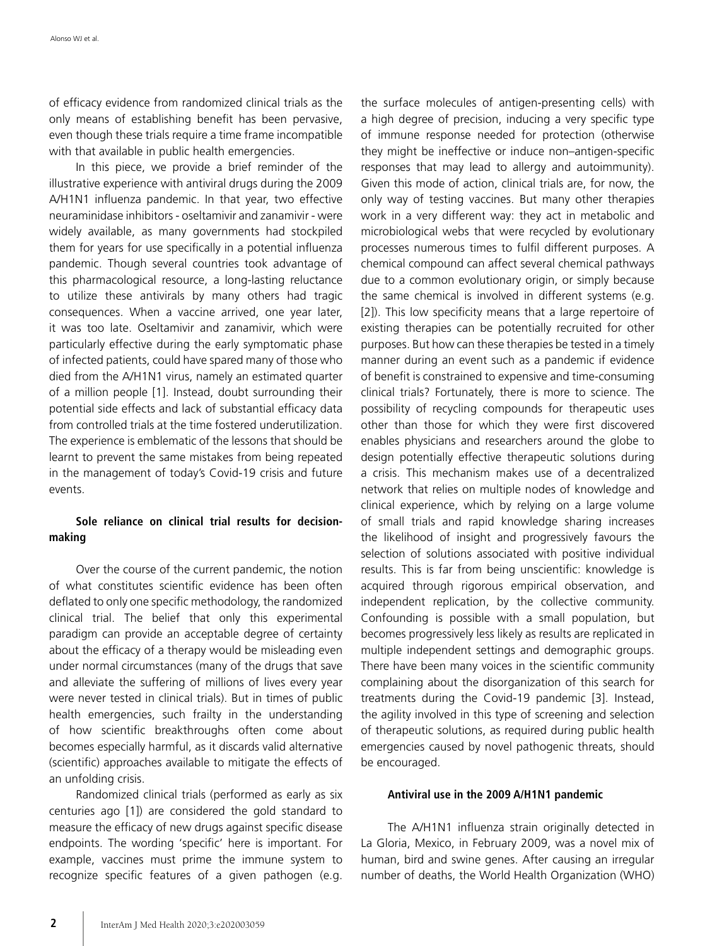of efficacy evidence from randomized clinical trials as the only means of establishing benefit has been pervasive, even though these trials require a time frame incompatible with that available in public health emergencies.

In this piece, we provide a brief reminder of the illustrative experience with antiviral drugs during the 2009 A/H1N1 influenza pandemic. In that year, two effective neuraminidase inhibitors - oseltamivir and zanamivir - were widely available, as many governments had stockpiled them for years for use specifically in a potential influenza pandemic. Though several countries took advantage of this pharmacological resource, a long-lasting reluctance to utilize these antivirals by many others had tragic consequences. When a vaccine arrived, one year later, it was too late. Oseltamivir and zanamivir, which were particularly effective during the early symptomatic phase of infected patients, could have spared many of those who died from the A/H1N1 virus, namely an estimated quarter of a million people [1]. Instead, doubt surrounding their potential side effects and lack of substantial efficacy data from controlled trials at the time fostered underutilization. The experience is emblematic of the lessons that should be learnt to prevent the same mistakes from being repeated in the management of today's Covid-19 crisis and future events.

### **Sole reliance on clinical trial results for decisionmaking**

Over the course of the current pandemic, the notion of what constitutes scientific evidence has been often deflated to only one specific methodology, the randomized clinical trial. The belief that only this experimental paradigm can provide an acceptable degree of certainty about the efficacy of a therapy would be misleading even under normal circumstances (many of the drugs that save and alleviate the suffering of millions of lives every year were never tested in clinical trials). But in times of public health emergencies, such frailty in the understanding of how scientific breakthroughs often come about becomes especially harmful, as it discards valid alternative (scientific) approaches available to mitigate the effects of an unfolding crisis.

Randomized clinical trials (performed as early as six centuries ago [1]) are considered the gold standard to measure the efficacy of new drugs against specific disease endpoints. The wording 'specific' here is important. For example, vaccines must prime the immune system to recognize specific features of a given pathogen (e.g.

the surface molecules of antigen-presenting cells) with a high degree of precision, inducing a very specific type of immune response needed for protection (otherwise they might be ineffective or induce non–antigen-specific responses that may lead to allergy and autoimmunity). Given this mode of action, clinical trials are, for now, the only way of testing vaccines. But many other therapies work in a very different way: they act in metabolic and microbiological webs that were recycled by evolutionary processes numerous times to fulfil different purposes. A chemical compound can affect several chemical pathways due to a common evolutionary origin, or simply because the same chemical is involved in different systems (e.g. [2]). This low specificity means that a large repertoire of existing therapies can be potentially recruited for other purposes. But how can these therapies be tested in a timely manner during an event such as a pandemic if evidence of benefit is constrained to expensive and time-consuming clinical trials? Fortunately, there is more to science. The possibility of recycling compounds for therapeutic uses other than those for which they were first discovered enables physicians and researchers around the globe to design potentially effective therapeutic solutions during a crisis. This mechanism makes use of a decentralized network that relies on multiple nodes of knowledge and clinical experience, which by relying on a large volume of small trials and rapid knowledge sharing increases the likelihood of insight and progressively favours the selection of solutions associated with positive individual results. This is far from being unscientific: knowledge is acquired through rigorous empirical observation, and independent replication, by the collective community. Confounding is possible with a small population, but becomes progressively less likely as results are replicated in multiple independent settings and demographic groups. There have been many voices in the scientific community complaining about the disorganization of this search for treatments during the Covid-19 pandemic [3]. Instead, the agility involved in this type of screening and selection of therapeutic solutions, as required during public health emergencies caused by novel pathogenic threats, should be encouraged.

#### **Antiviral use in the 2009 A/H1N1 pandemic**

The A/H1N1 influenza strain originally detected in La Gloria, Mexico, in February 2009, was a novel mix of human, bird and swine genes. After causing an irregular number of deaths, the World Health Organization (WHO)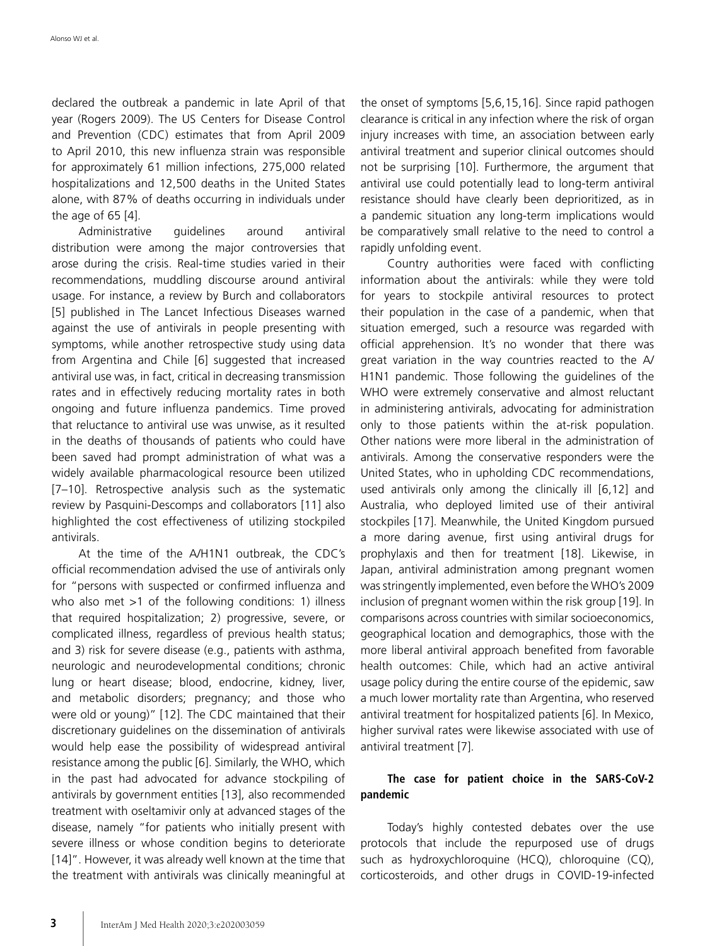declared the outbreak a pandemic in late April of that year (Rogers 2009). The US Centers for Disease Control and Prevention (CDC) estimates that from April 2009 to April 2010, this new influenza strain was responsible for approximately 61 million infections, 275,000 related hospitalizations and 12,500 deaths in the United States alone, with 87% of deaths occurring in individuals under the age of 65 [4].

Administrative guidelines around antiviral distribution were among the major controversies that arose during the crisis. Real-time studies varied in their recommendations, muddling discourse around antiviral usage. For instance, a review by Burch and collaborators [5] published in The Lancet Infectious Diseases warned against the use of antivirals in people presenting with symptoms, while another retrospective study using data from Argentina and Chile [6] suggested that increased antiviral use was, in fact, critical in decreasing transmission rates and in effectively reducing mortality rates in both ongoing and future influenza pandemics. Time proved that reluctance to antiviral use was unwise, as it resulted in the deaths of thousands of patients who could have been saved had prompt administration of what was a widely available pharmacological resource been utilized [7–10]. Retrospective analysis such as the systematic review by Pasquini-Descomps and collaborators [11] also highlighted the cost effectiveness of utilizing stockpiled antivirals.

At the time of the A/H1N1 outbreak, the CDC's official recommendation advised the use of antivirals only for "persons with suspected or confirmed influenza and who also met >1 of the following conditions: 1) illness that required hospitalization; 2) progressive, severe, or complicated illness, regardless of previous health status; and 3) risk for severe disease (e.g., patients with asthma, neurologic and neurodevelopmental conditions; chronic lung or heart disease; blood, endocrine, kidney, liver, and metabolic disorders; pregnancy; and those who were old or young)" [12]. The CDC maintained that their discretionary guidelines on the dissemination of antivirals would help ease the possibility of widespread antiviral resistance among the public [6]. Similarly, the WHO, which in the past had advocated for advance stockpiling of antivirals by government entities [13], also recommended treatment with oseltamivir only at advanced stages of the disease, namely "for patients who initially present with severe illness or whose condition begins to deteriorate [14]". However, it was already well known at the time that the treatment with antivirals was clinically meaningful at the onset of symptoms [5,6,15,16]. Since rapid pathogen clearance is critical in any infection where the risk of organ injury increases with time, an association between early antiviral treatment and superior clinical outcomes should not be surprising [10]. Furthermore, the argument that antiviral use could potentially lead to long-term antiviral resistance should have clearly been deprioritized, as in a pandemic situation any long-term implications would be comparatively small relative to the need to control a rapidly unfolding event.

Country authorities were faced with conflicting information about the antivirals: while they were told for years to stockpile antiviral resources to protect their population in the case of a pandemic, when that situation emerged, such a resource was regarded with official apprehension. It's no wonder that there was great variation in the way countries reacted to the A/ H1N1 pandemic. Those following the guidelines of the WHO were extremely conservative and almost reluctant in administering antivirals, advocating for administration only to those patients within the at-risk population. Other nations were more liberal in the administration of antivirals. Among the conservative responders were the United States, who in upholding CDC recommendations, used antivirals only among the clinically ill [6,12] and Australia, who deployed limited use of their antiviral stockpiles [17]. Meanwhile, the United Kingdom pursued a more daring avenue, first using antiviral drugs for prophylaxis and then for treatment [18]. Likewise, in Japan, antiviral administration among pregnant women was stringently implemented, even before the WHO's 2009 inclusion of pregnant women within the risk group [19]. In comparisons across countries with similar socioeconomics, geographical location and demographics, those with the more liberal antiviral approach benefited from favorable health outcomes: Chile, which had an active antiviral usage policy during the entire course of the epidemic, saw a much lower mortality rate than Argentina, who reserved antiviral treatment for hospitalized patients [6]. In Mexico, higher survival rates were likewise associated with use of antiviral treatment [7].

### **The case for patient choice in the SARS-CoV-2 pandemic**

Today's highly contested debates over the use protocols that include the repurposed use of drugs such as hydroxychloroquine (HCQ), chloroquine (CQ), corticosteroids, and other drugs in COVID-19-infected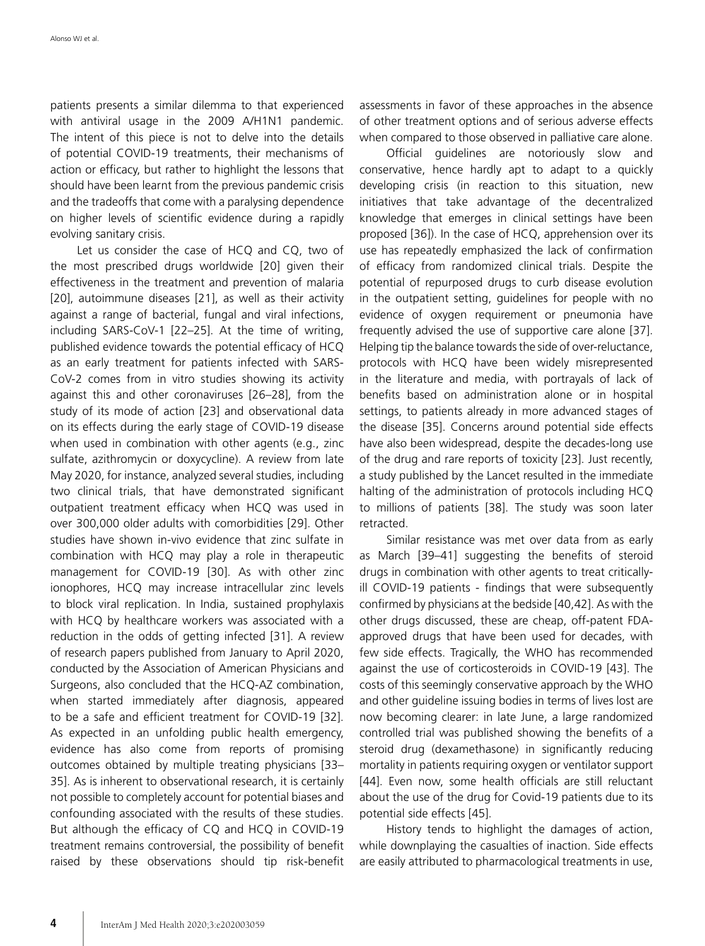patients presents a similar dilemma to that experienced with antiviral usage in the 2009 A/H1N1 pandemic. The intent of this piece is not to delve into the details of potential COVID-19 treatments, their mechanisms of action or efficacy, but rather to highlight the lessons that should have been learnt from the previous pandemic crisis and the tradeoffs that come with a paralysing dependence on higher levels of scientific evidence during a rapidly evolving sanitary crisis.

Let us consider the case of HCQ and CQ, two of the most prescribed drugs worldwide [20] given their effectiveness in the treatment and prevention of malaria [20], autoimmune diseases [21], as well as their activity against a range of bacterial, fungal and viral infections, including SARS-CoV-1 [22–25]. At the time of writing, published evidence towards the potential efficacy of HCQ as an early treatment for patients infected with SARS-CoV-2 comes from in vitro studies showing its activity against this and other coronaviruses [26–28], from the study of its mode of action [23] and observational data on its effects during the early stage of COVID-19 disease when used in combination with other agents (e.g., zinc sulfate, azithromycin or doxycycline). A review from late May 2020, for instance, analyzed several studies, including two clinical trials, that have demonstrated significant outpatient treatment efficacy when HCQ was used in over 300,000 older adults with comorbidities [29]. Other studies have shown in-vivo evidence that zinc sulfate in combination with HCQ may play a role in therapeutic management for COVID-19 [30]. As with other zinc ionophores, HCQ may increase intracellular zinc levels to block viral replication. In India, sustained prophylaxis with HCQ by healthcare workers was associated with a reduction in the odds of getting infected [31]. A review of research papers published from January to April 2020, conducted by the Association of American Physicians and Surgeons, also concluded that the HCQ-AZ combination, when started immediately after diagnosis, appeared to be a safe and efficient treatment for COVID-19 [32]. As expected in an unfolding public health emergency, evidence has also come from reports of promising outcomes obtained by multiple treating physicians [33– 35]. As is inherent to observational research, it is certainly not possible to completely account for potential biases and confounding associated with the results of these studies. But although the efficacy of CQ and HCQ in COVID-19 treatment remains controversial, the possibility of benefit raised by these observations should tip risk-benefit assessments in favor of these approaches in the absence of other treatment options and of serious adverse effects when compared to those observed in palliative care alone.

Official guidelines are notoriously slow and conservative, hence hardly apt to adapt to a quickly developing crisis (in reaction to this situation, new initiatives that take advantage of the decentralized knowledge that emerges in clinical settings have been proposed [36]). In the case of HCQ, apprehension over its use has repeatedly emphasized the lack of confirmation of efficacy from randomized clinical trials. Despite the potential of repurposed drugs to curb disease evolution in the outpatient setting, guidelines for people with no evidence of oxygen requirement or pneumonia have frequently advised the use of supportive care alone [37]. Helping tip the balance towards the side of over-reluctance, protocols with HCQ have been widely misrepresented in the literature and media, with portrayals of lack of benefits based on administration alone or in hospital settings, to patients already in more advanced stages of the disease [35]. Concerns around potential side effects have also been widespread, despite the decades-long use of the drug and rare reports of toxicity [23]. Just recently, a study published by the Lancet resulted in the immediate halting of the administration of protocols including HCQ to millions of patients [38]. The study was soon later retracted.

Similar resistance was met over data from as early as March [39–41] suggesting the benefits of steroid drugs in combination with other agents to treat criticallyill COVID-19 patients - findings that were subsequently confirmed by physicians at the bedside [40,42]. As with the other drugs discussed, these are cheap, off-patent FDAapproved drugs that have been used for decades, with few side effects. Tragically, the WHO has recommended against the use of corticosteroids in COVID-19 [43]. The costs of this seemingly conservative approach by the WHO and other guideline issuing bodies in terms of lives lost are now becoming clearer: in late June, a large randomized controlled trial was published showing the benefits of a steroid drug (dexamethasone) in significantly reducing mortality in patients requiring oxygen or ventilator support [44]. Even now, some health officials are still reluctant about the use of the drug for Covid-19 patients due to its potential side effects [45].

History tends to highlight the damages of action, while downplaying the casualties of inaction. Side effects are easily attributed to pharmacological treatments in use,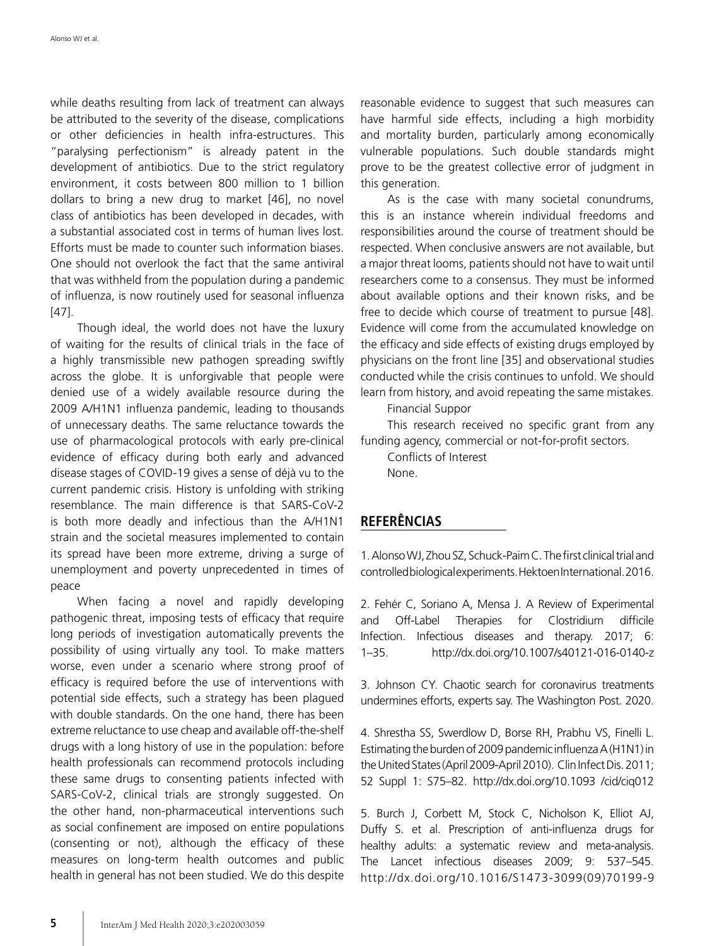while deaths resulting from lack of treatment can always be attributed to the severity of the disease, complications or other deficiencies in health infra-estructures. This "paralysing perfectionism" is already patent in the development of antibiotics. Due to the strict regulatory environment, it costs between 800 million to 1 billion dollars to bring a new drug to market [46], no novel class of antibiotics has been developed in decades, with a substantial associated cost in terms of human lives lost. Efforts must be made to counter such information biases. One should not overlook the fact that the same antiviral that was withheld from the population during a pandemic of influenza, is now routinely used for seasonal influenza [47].

Though ideal, the world does not have the luxury of waiting for the results of clinical trials in the face of a highly transmissible new pathogen spreading swiftly across the globe. It is unforgivable that people were denied use of a widely available resource during the 2009 A/H1N1 influenza pandemic, leading to thousands of unnecessary deaths. The same reluctance towards the use of pharmacological protocols with early pre-clinical evidence of efficacy during both early and advanced disease stages of COVID-19 gives a sense of déjà vu to the current pandemic crisis. History is unfolding with striking resemblance. The main difference is that SARS-CoV-2 is both more deadly and infectious than the A/H1N1 strain and the societal measures implemented to contain its spread have been more extreme, driving a surge of unemployment and poverty unprecedented in times of peace

When facing a novel and rapidly developing pathogenic threat, imposing tests of efficacy that require long periods of investigation automatically prevents the possibility of using virtually any tool. To make matters worse, even under a scenario where strong proof of efficacy is required before the use of interventions with potential side effects, such a strategy has been plagued with double standards. On the one hand, there has been extreme reluctance to use cheap and available off-the-shelf drugs with a long history of use in the population: before health professionals can recommend protocols including these same drugs to consenting patients infected with SARS-CoV-2, clinical trials are strongly suggested. On the other hand, non-pharmaceutical interventions such as social confinement are imposed on entire populations (consenting or not), although the efficacy of these measures on long-term health outcomes and public health in general has not been studied. We do this despite

reasonable evidence to suggest that such measures can have harmful side effects, including a high morbidity and mortality burden, particularly among economically vulnerable populations. Such double standards might prove to be the greatest collective error of judgment in this generation.

As is the case with many societal conundrums, this is an instance wherein individual freedoms and responsibilities around the course of treatment should be respected. When conclusive answers are not available, but a major threat looms, patients should not have to wait until researchers come to a consensus. They must be informed about available options and their known risks, and be free to decide which course of treatment to pursue [48]. Evidence will come from the accumulated knowledge on the efficacy and side effects of existing drugs employed by physicians on the front line [35] and observational studies conducted while the crisis continues to unfold. We should learn from history, and avoid repeating the same mistakes.

Financial Suppor

This research received no specific grant from any funding agency, commercial or not-for-profit sectors.

Conflicts of Interest None.

# **REFERÊNCIAS**

1. Alonso WJ, Zhou SZ, Schuck-Paim C. The first clinical trial and controlled biological experiments. Hektoen International. 2016.

2. Fehér C, Soriano A, Mensa J. A Review of Experimental and Off-Label Therapies for Clostridium difficile Infection. Infectious diseases and therapy. 2017; 6: 1–35. http://dx.doi.org/10.1007/s40121-016-0140-z

3. Johnson CY. Chaotic search for coronavirus treatments undermines efforts, experts say. The Washington Post. 2020.

4. Shrestha SS, Swerdlow D, Borse RH, Prabhu VS, Finelli L. Estimating the burden of 2009 pandemic influenza A (H1N1) in the United States (April 2009-April 2010). Clin Infect Dis. 2011; 52 Suppl 1: S75–82. http://dx.doi.org/10.1093 /cid/ciq012

5. Burch J, Corbett M, Stock C, Nicholson K, Elliot AJ, Duffy S. et al. Prescription of anti-influenza drugs for healthy adults: a systematic review and meta-analysis. The Lancet infectious diseases 2009; 9: 537–545. http://dx.doi.org/10.1016/S1473-3099(09)70199-9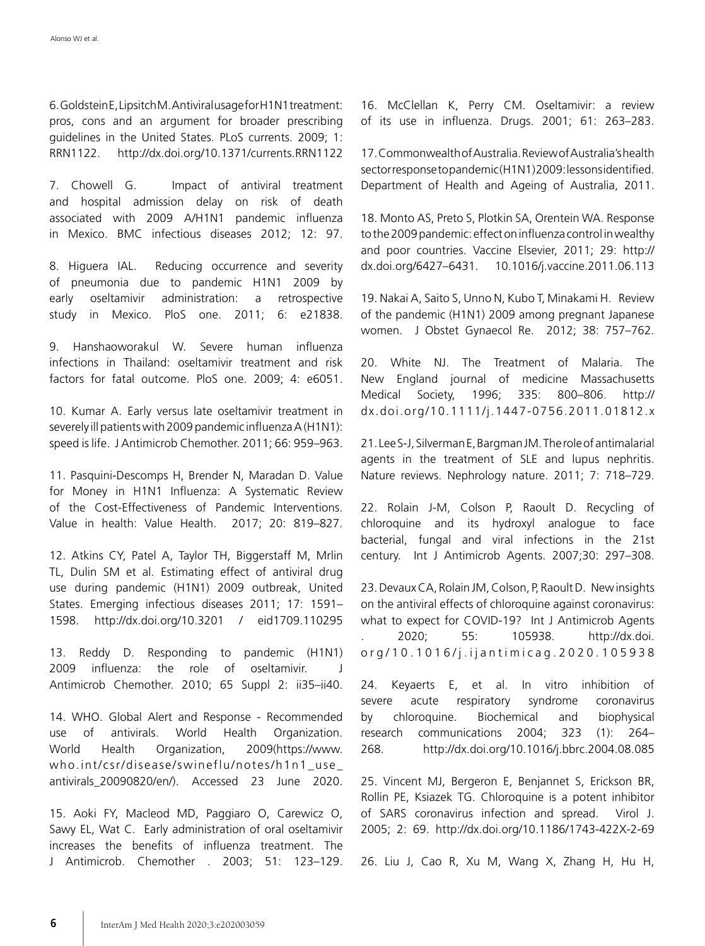6. Goldstein E, Lipsitch M. Antiviral usage for H1N1 treatment: pros, cons and an argument for broader prescribing guidelines in the United States. PLoS currents. 2009; 1: RRN1122. http://dx.doi.org/10.1371/currents.RRN1122

7. Chowell G. Impact of antiviral treatment and hospital admission delay on risk of death associated with 2009 A/H1N1 pandemic influenza in Mexico. BMC infectious diseases 2012; 12: 97.

8. Higuera IAL. Reducing occurrence and severity of pneumonia due to pandemic H1N1 2009 by early oseltamivir administration: a retrospective study in Mexico. PloS one. 2011; 6: e21838.

9. Hanshaoworakul W. Severe human influenza infections in Thailand: oseltamivir treatment and risk factors for fatal outcome. PloS one. 2009; 4: e6051.

10. Kumar A. Early versus late oseltamivir treatment in severely ill patients with 2009 pandemic influenza A (H1N1): speed is life. J Antimicrob Chemother. 2011; 66: 959–963.

11. Pasquini-Descomps H, Brender N, Maradan D. Value for Money in H1N1 Influenza: A Systematic Review of the Cost-Effectiveness of Pandemic Interventions. Value in health: Value Health. 2017; 20: 819–827.

12. Atkins CY, Patel A, Taylor TH, Biggerstaff M, Mrlin TL, Dulin SM et al. Estimating effect of antiviral drug use during pandemic (H1N1) 2009 outbreak, United States. Emerging infectious diseases 2011; 17: 1591– 1598. http://dx.doi.org/10.3201 / eid1709.110295

13. Reddy D. Responding to pandemic (H1N1) 2009 influenza: the role of oseltamivir. J Antimicrob Chemother. 2010; 65 Suppl 2: ii35–ii40.

14. WHO. Global Alert and Response - Recommended use of antivirals. World Health Organization. World Health Organization, 2009(https://www. who.int/csr/disease/swineflu/notes/h1n1\_use\_ antivirals\_20090820/en/). Accessed 23 June 2020.

15. Aoki FY, Macleod MD, Paggiaro O, Carewicz O, Sawy EL, Wat C. Early administration of oral oseltamivir increases the benefits of influenza treatment. The J Antimicrob. Chemother . 2003; 51: 123–129. 16. McClellan K, Perry CM. Oseltamivir: a review of its use in influenza. Drugs. 2001; 61: 263–283.

17. Commonwealth of Australia. Review of Australia's health sector response to pandemic (H1N1) 2009: lessons identified. Department of Health and Ageing of Australia, 2011.

18. Monto AS, Preto S, Plotkin SA, Orentein WA. Response to the 2009 pandemic: effect on influenza control in wealthy and poor countries. Vaccine Elsevier, 2011; 29: http:// dx.doi.org/6427–6431. 10.1016/j.vaccine.2011.06.113

19. Nakai A, Saito S, Unno N, Kubo T, Minakami H. Review of the pandemic (H1N1) 2009 among pregnant Japanese women. J Obstet Gynaecol Re. 2012; 38: 757–762.

20. White NJ. The Treatment of Malaria. The New England journal of medicine Massachusetts Medical Society, 1996; 335: 800–806. http:// dx.doi.org/10.1111/j.1447-0756.2011.01812.x

21. Lee S-J, Silverman E, Bargman JM. The role of antimalarial agents in the treatment of SLE and lupus nephritis. Nature reviews. Nephrology nature. 2011; 7: 718–729.

22. Rolain J-M, Colson P, Raoult D. Recycling of chloroquine and its hydroxyl analogue to face bacterial, fungal and viral infections in the 21st century. Int J Antimicrob Agents. 2007;30: 297–308.

23. Devaux CA, Rolain JM, Colson, P, Raoult D. New insights on the antiviral effects of chloroquine against coronavirus: what to expect for COVID-19? Int J Antimicrob Agents . 2020; 55: 105938. http://dx.doi. o r g / 1 0 . 1 0 1 6 / j . i j a n t i m i c a g . 2 0 2 0 . 1 0 5 9 3 8

24. Keyaerts E, et al. In vitro inhibition of severe acute respiratory syndrome coronavirus by chloroquine. Biochemical and biophysical research communications 2004; 323 (1): 264– 268. http://dx.doi.org/10.1016/j.bbrc.2004.08.085

25. Vincent MJ, Bergeron E, Benjannet S, Erickson BR, Rollin PE, Ksiazek TG. Chloroquine is a potent inhibitor of SARS coronavirus infection and spread. Virol J. 2005; 2: 69. http://dx.doi.org/10.1186/1743-422X-2-69

26. Liu J, Cao R, Xu M, Wang X, Zhang H, Hu H,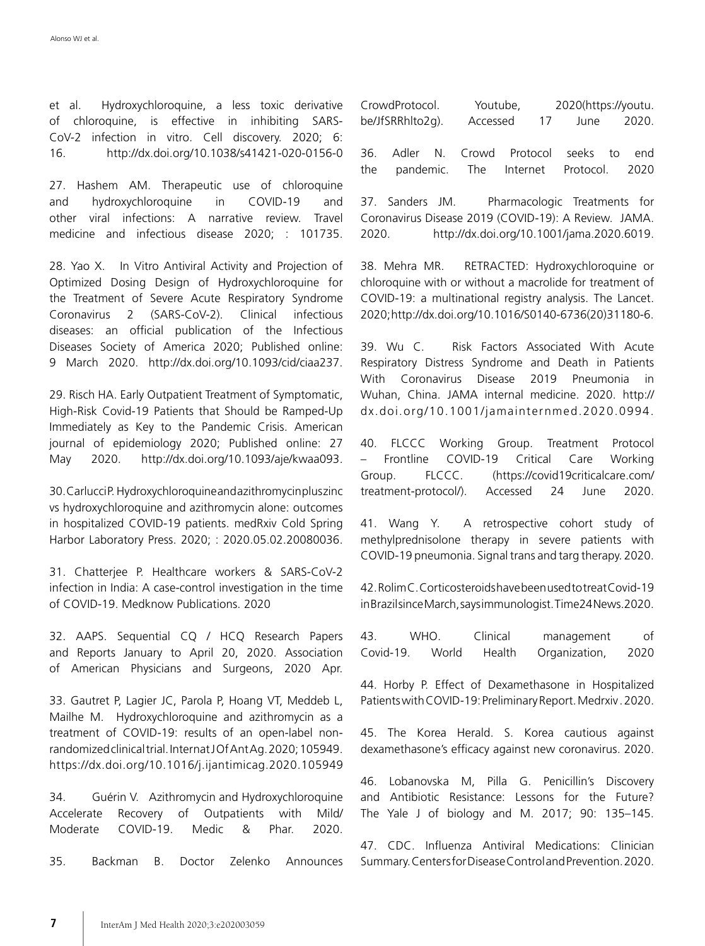et al. Hydroxychloroquine, a less toxic derivative of chloroquine, is effective in inhibiting SARS-CoV-2 infection in vitro. Cell discovery. 2020; 6: 16. http://dx.doi.org/10.1038/s41421-020-0156-0

27. Hashem AM. Therapeutic use of chloroquine and hydroxychloroquine in COVID-19 and other viral infections: A narrative review. Travel medicine and infectious disease 2020; : 101735.

28. Yao X. In Vitro Antiviral Activity and Projection of Optimized Dosing Design of Hydroxychloroquine for the Treatment of Severe Acute Respiratory Syndrome Coronavirus 2 (SARS-CoV-2). Clinical infectious diseases: an official publication of the Infectious Diseases Society of America 2020; Published online: 9 March 2020. http://dx.doi.org/10.1093/cid/ciaa237.

29. Risch HA. Early Outpatient Treatment of Symptomatic, High-Risk Covid-19 Patients that Should be Ramped-Up Immediately as Key to the Pandemic Crisis. American journal of epidemiology 2020; Published online: 27 May 2020. http://dx.doi.org/10.1093/aje/kwaa093.

30. Carlucci P. Hydroxychloroquine and azithromycin plus zinc vs hydroxychloroquine and azithromycin alone: outcomes in hospitalized COVID-19 patients. medRxiv Cold Spring Harbor Laboratory Press. 2020; : 2020.05.02.20080036.

31. Chatterjee P. Healthcare workers & SARS-CoV-2 infection in India: A case-control investigation in the time of COVID-19. Medknow Publications. 2020

32. AAPS. Sequential CQ / HCQ Research Papers and Reports January to April 20, 2020. Association of American Physicians and Surgeons, 2020 Apr.

33. Gautret P, Lagier JC, Parola P, Hoang VT, Meddeb L, Mailhe M. Hydroxychloroquine and azithromycin as a treatment of COVID-19: results of an open-label nonrandomized clinical trial. Internat J Of Ant Ag. 2020; 105949. https://dx.doi.org/10.1016/j.ijantimicag.2020.105949

34. Guérin V. Azithromycin and Hydroxychloroquine Accelerate Recovery of Outpatients with Mild/ Moderate COVID-19. Medic & Phar. 2020.

35. Backman B. Doctor Zelenko Announces

|                  | CrowdProtocol. |  | Youtube,                             |  | 2020(https://youtu. |      |  |       |
|------------------|----------------|--|--------------------------------------|--|---------------------|------|--|-------|
| be/JfSRRhIto2g). |                |  | Accessed                             |  | 17                  | June |  | 2020. |
|                  |                |  |                                      |  |                     |      |  |       |
|                  |                |  | 36. Adler N. Crowd Protocol seeks to |  |                     |      |  | end   |

the pandemic. The Internet Protocol. 2020

37. Sanders JM. Pharmacologic Treatments for Coronavirus Disease 2019 (COVID-19): A Review. JAMA. 2020. http://dx.doi.org/10.1001/jama.2020.6019.

38. Mehra MR. RETRACTED: Hydroxychloroquine or chloroquine with or without a macrolide for treatment of COVID-19: a multinational registry analysis. The Lancet. 2020; http://dx.doi.org/10.1016/S0140-6736(20)31180-6.

39. Wu C. Risk Factors Associated With Acute Respiratory Distress Syndrome and Death in Patients With Coronavirus Disease 2019 Pneumonia in Wuhan, China. JAMA internal medicine. 2020. http:// dx.doi.org/10.1001/jamainternmed.2020.0994.

40. FLCCC Working Group. Treatment Protocol – Frontline COVID-19 Critical Care Working Group. FLCCC. (https://covid19criticalcare.com/ treatment-protocol/). Accessed 24 June 2020.

41. Wang Y. A retrospective cohort study of methylprednisolone therapy in severe patients with COVID-19 pneumonia. Signal trans and targ therapy. 2020.

42. Rolim C. Corticosteroids have been used to treat Covid-19 in Brazil since March, says immunologist. Time24 News.2020.

43. WHO. Clinical management of Covid-19. World Health Organization, 2020

44. Horby P. Effect of Dexamethasone in Hospitalized Patients with COVID-19: Preliminary Report. Medrxiv . 2020.

45. The Korea Herald. S. Korea cautious against dexamethasone's efficacy against new coronavirus. 2020.

46. Lobanovska M, Pilla G. Penicillin's Discovery and Antibiotic Resistance: Lessons for the Future? The Yale J of biology and M. 2017; 90: 135–145.

47. CDC. Influenza Antiviral Medications: Clinician Summary. Centers for Disease Control and Prevention. 2020.